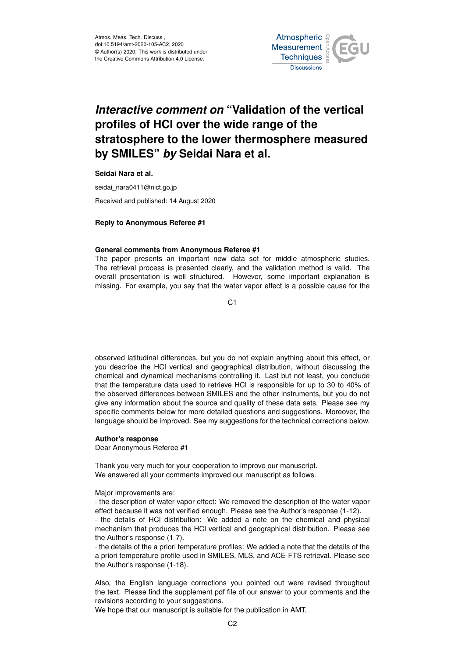

# *Interactive comment on* **"Validation of the vertical profiles of HCl over the wide range of the stratosphere to the lower thermosphere measured by SMILES"** *by* **Seidai Nara et al.**

**Seidai Nara et al.**

seidai\_nara0411@nict.go.jp

Received and published: 14 August 2020

### **Reply to Anonymous Referee #1**

#### **General comments from Anonymous Referee #1**

The paper presents an important new data set for middle atmospheric studies. The retrieval process is presented clearly, and the validation method is valid. The overall presentation is well structured. However, some important explanation is missing. For example, you say that the water vapor effect is a possible cause for the

 $C<sub>1</sub>$ 

observed latitudinal differences, but you do not explain anything about this effect, or you describe the HCl vertical and geographical distribution, without discussing the chemical and dynamical mechanisms controlling it. Last but not least, you conclude that the temperature data used to retrieve HCl is responsible for up to 30 to 40% of the observed differences between SMILES and the other instruments, but you do not give any information about the source and quality of these data sets. Please see my specific comments below for more detailed questions and suggestions. Moreover, the language should be improved. See my suggestions for the technical corrections below.

#### **Author's response**

#### Dear Anonymous Referee #1

Thank you very much for your cooperation to improve our manuscript. We answered all your comments improved our manuscript as follows.

#### Major improvements are:

· the description of water vapor effect: We removed the description of the water vapor effect because it was not verified enough. Please see the Author's response (1-12).

· the details of HCl distribution: We added a note on the chemical and physical mechanism that produces the HCl vertical and geographical distribution. Please see the Author's response (1-7).

· the details of the a priori temperature profiles: We added a note that the details of the a priori temperature profile used in SMILES, MLS, and ACE-FTS retrieval. Please see the Author's response (1-18).

Also, the English language corrections you pointed out were revised throughout the text. Please find the supplement pdf file of our answer to your comments and the revisions according to your suggestions.

We hope that our manuscript is suitable for the publication in AMT.